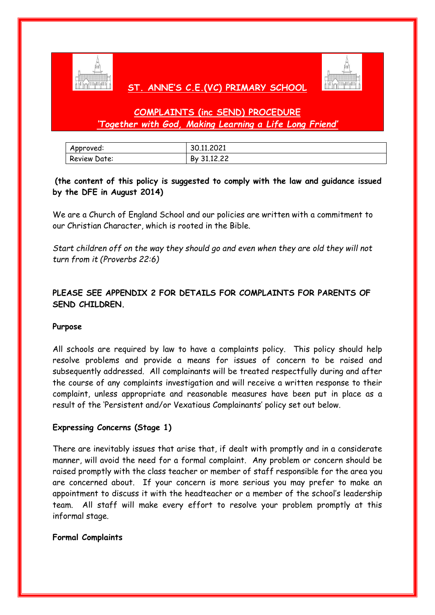

## **ST. ANNE'S C.E.(VC) PRIMARY SCHOOL**



# **COMPLAINTS (inc SEND) PROCEDURE**  *'Together with God, Making Learning a Life Long Friend'*

| Approved:    | 30.11.2021     |
|--------------|----------------|
| Review Date: | 31.12.22<br>By |

## **(the content of this policy is suggested to comply with the law and guidance issued by the DFE in August 2014)**

We are a Church of England School and our policies are written with a commitment to our Christian Character, which is rooted in the Bible.

*Start children off on the way they should go and even when they are old they will not turn from it (Proverbs 22:6)*

## **PLEASE SEE APPENDIX 2 FOR DETAILS FOR COMPLAINTS FOR PARENTS OF SEND CHILDREN.**

#### **Purpose**

All schools are required by law to have a complaints policy. This policy should help resolve problems and provide a means for issues of concern to be raised and subsequently addressed. All complainants will be treated respectfully during and after the course of any complaints investigation and will receive a written response to their complaint, unless appropriate and reasonable measures have been put in place as a result of the 'Persistent and/or Vexatious Complainants' policy set out below.

#### **Expressing Concerns (Stage 1)**

There are inevitably issues that arise that, if dealt with promptly and in a considerate manner, will avoid the need for a formal complaint. Any problem or concern should be raised promptly with the class teacher or member of staff responsible for the area you are concerned about. If your concern is more serious you may prefer to make an appointment to discuss it with the headteacher or a member of the school's leadership team. All staff will make every effort to resolve your problem promptly at this informal stage.

#### **Formal Complaints**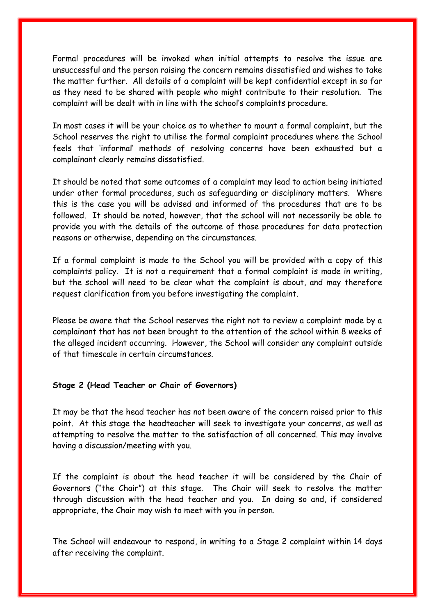Formal procedures will be invoked when initial attempts to resolve the issue are unsuccessful and the person raising the concern remains dissatisfied and wishes to take the matter further. All details of a complaint will be kept confidential except in so far as they need to be shared with people who might contribute to their resolution. The complaint will be dealt with in line with the school's complaints procedure.

In most cases it will be your choice as to whether to mount a formal complaint, but the School reserves the right to utilise the formal complaint procedures where the School feels that 'informal' methods of resolving concerns have been exhausted but a complainant clearly remains dissatisfied.

It should be noted that some outcomes of a complaint may lead to action being initiated under other formal procedures, such as safeguarding or disciplinary matters. Where this is the case you will be advised and informed of the procedures that are to be followed. It should be noted, however, that the school will not necessarily be able to provide you with the details of the outcome of those procedures for data protection reasons or otherwise, depending on the circumstances.

If a formal complaint is made to the School you will be provided with a copy of this complaints policy. It is not a requirement that a formal complaint is made in writing, but the school will need to be clear what the complaint is about, and may therefore request clarification from you before investigating the complaint.

Please be aware that the School reserves the right not to review a complaint made by a complainant that has not been brought to the attention of the school within 8 weeks of the alleged incident occurring. However, the School will consider any complaint outside of that timescale in certain circumstances.

#### **Stage 2 (Head Teacher or Chair of Governors)**

It may be that the head teacher has not been aware of the concern raised prior to this point. At this stage the headteacher will seek to investigate your concerns, as well as attempting to resolve the matter to the satisfaction of all concerned. This may involve having a discussion/meeting with you.

If the complaint is about the head teacher it will be considered by the Chair of Governors ("the Chair") at this stage. The Chair will seek to resolve the matter through discussion with the head teacher and you. In doing so and, if considered appropriate, the Chair may wish to meet with you in person.

The School will endeavour to respond, in writing to a Stage 2 complaint within 14 days after receiving the complaint.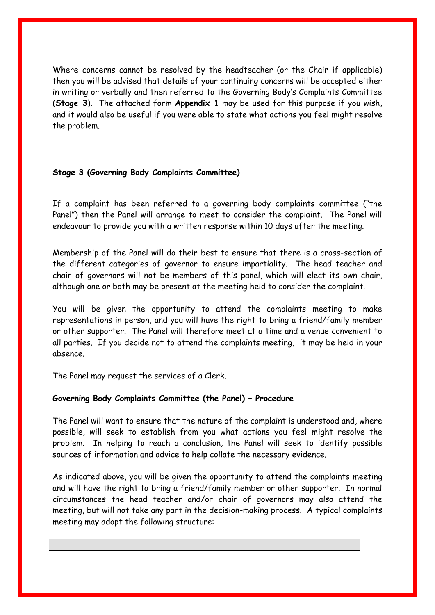Where concerns cannot be resolved by the headteacher (or the Chair if applicable) then you will be advised that details of your continuing concerns will be accepted either in writing or verbally and then referred to the Governing Body's Complaints Committee (**Stage 3**). The attached form **Appendix 1** may be used for this purpose if you wish, and it would also be useful if you were able to state what actions you feel might resolve the problem.

#### **Stage 3 (Governing Body Complaints Committee)**

If a complaint has been referred to a governing body complaints committee ("the Panel") then the Panel will arrange to meet to consider the complaint. The Panel will endeavour to provide you with a written response within 10 days after the meeting.

Membership of the Panel will do their best to ensure that there is a cross-section of the different categories of governor to ensure impartiality. The head teacher and chair of governors will not be members of this panel, which will elect its own chair, although one or both may be present at the meeting held to consider the complaint.

You will be given the opportunity to attend the complaints meeting to make representations in person, and you will have the right to bring a friend/family member or other supporter. The Panel will therefore meet at a time and a venue convenient to all parties. If you decide not to attend the complaints meeting, it may be held in your absence.

The Panel may request the services of a Clerk.

#### **Governing Body Complaints Committee (the Panel) – Procedure**

The Panel will want to ensure that the nature of the complaint is understood and, where possible, will seek to establish from you what actions you feel might resolve the problem. In helping to reach a conclusion, the Panel will seek to identify possible sources of information and advice to help collate the necessary evidence.

As indicated above, you will be given the opportunity to attend the complaints meeting and will have the right to bring a friend/family member or other supporter. In normal circumstances the head teacher and/or chair of governors may also attend the meeting, but will not take any part in the decision-making process. A typical complaints meeting may adopt the following structure: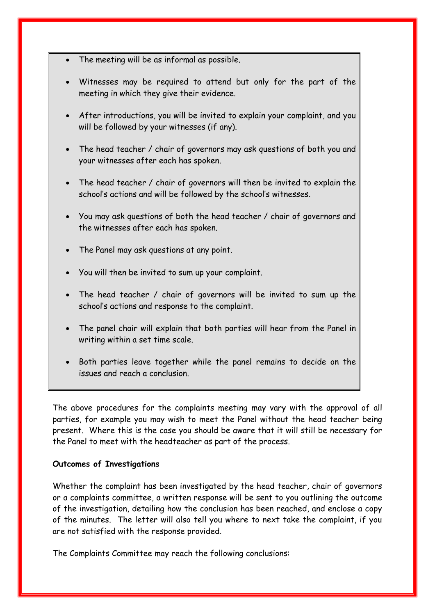- The meeting will be as informal as possible.
- Witnesses may be required to attend but only for the part of the meeting in which they give their evidence.
- After introductions, you will be invited to explain your complaint, and you will be followed by your witnesses (if any).
- The head teacher / chair of governors may ask questions of both you and your witnesses after each has spoken.
- The head teacher / chair of governors will then be invited to explain the school's actions and will be followed by the school's witnesses.
- You may ask questions of both the head teacher / chair of governors and the witnesses after each has spoken.
- The Panel may ask questions at any point.
- You will then be invited to sum up your complaint.
- The head teacher / chair of governors will be invited to sum up the school's actions and response to the complaint.
- The panel chair will explain that both parties will hear from the Panel in writing within a set time scale.
- Both parties leave together while the panel remains to decide on the issues and reach a conclusion.

The above procedures for the complaints meeting may vary with the approval of all parties, for example you may wish to meet the Panel without the head teacher being present. Where this is the case you should be aware that it will still be necessary for the Panel to meet with the headteacher as part of the process.

#### **Outcomes of Investigations**

Whether the complaint has been investigated by the head teacher, chair of governors or a complaints committee, a written response will be sent to you outlining the outcome of the investigation, detailing how the conclusion has been reached, and enclose a copy of the minutes. The letter will also tell you where to next take the complaint, if you are not satisfied with the response provided.

The Complaints Committee may reach the following conclusions: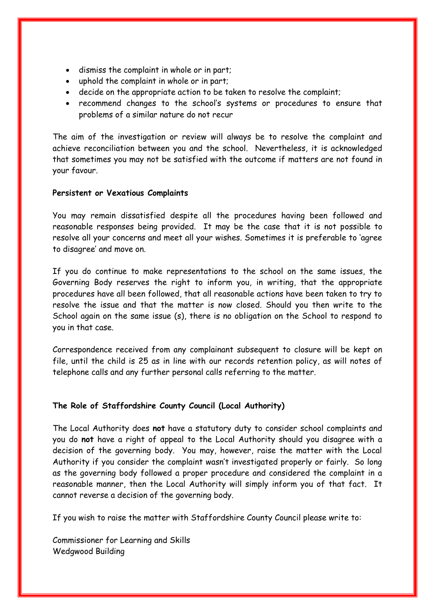- dismiss the complaint in whole or in part;
- uphold the complaint in whole or in part;
- decide on the appropriate action to be taken to resolve the complaint;
- recommend changes to the school's systems or procedures to ensure that problems of a similar nature do not recur

The aim of the investigation or review will always be to resolve the complaint and achieve reconciliation between you and the school. Nevertheless, it is acknowledged that sometimes you may not be satisfied with the outcome if matters are not found in your favour.

#### **Persistent or Vexatious Complaints**

You may remain dissatisfied despite all the procedures having been followed and reasonable responses being provided. It may be the case that it is not possible to resolve all your concerns and meet all your wishes. Sometimes it is preferable to 'agree to disagree' and move on.

If you do continue to make representations to the school on the same issues, the Governing Body reserves the right to inform you, in writing, that the appropriate procedures have all been followed, that all reasonable actions have been taken to try to resolve the issue and that the matter is now closed. Should you then write to the School again on the same issue (s), there is no obligation on the School to respond to you in that case.

Correspondence received from any complainant subsequent to closure will be kept on file, until the child is 25 as in line with our records retention policy, as will notes of telephone calls and any further personal calls referring to the matter.

#### **The Role of Staffordshire County Council (Local Authority)**

The Local Authority does **not** have a statutory duty to consider school complaints and you do **not** have a right of appeal to the Local Authority should you disagree with a decision of the governing body. You may, however, raise the matter with the Local Authority if you consider the complaint wasn't investigated properly or fairly. So long as the governing body followed a proper procedure and considered the complaint in a reasonable manner, then the Local Authority will simply inform you of that fact. It cannot reverse a decision of the governing body.

If you wish to raise the matter with Staffordshire County Council please write to:

Commissioner for Learning and Skills Wedgwood Building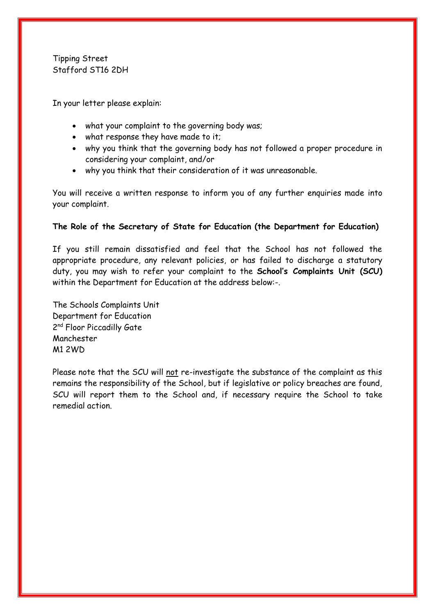Tipping Street Stafford ST16 2DH

In your letter please explain:

- what your complaint to the governing body was;
- what response they have made to it;
- why you think that the governing body has not followed a proper procedure in considering your complaint, and/or
- why you think that their consideration of it was unreasonable.

You will receive a written response to inform you of any further enquiries made into your complaint.

#### **The Role of the Secretary of State for Education (the Department for Education)**

If you still remain dissatisfied and feel that the School has not followed the appropriate procedure, any relevant policies, or has failed to discharge a statutory duty, you may wish to refer your complaint to the **School's Complaints Unit (SCU)** within the Department for Education at the address below:-.

The Schools Complaints Unit Department for Education 2<sup>nd</sup> Floor Piccadilly Gate Manchester M1 2WD

Please note that the SCU will not re-investigate the substance of the complaint as this remains the responsibility of the School, but if legislative or policy breaches are found, SCU will report them to the School and, if necessary require the School to take remedial action.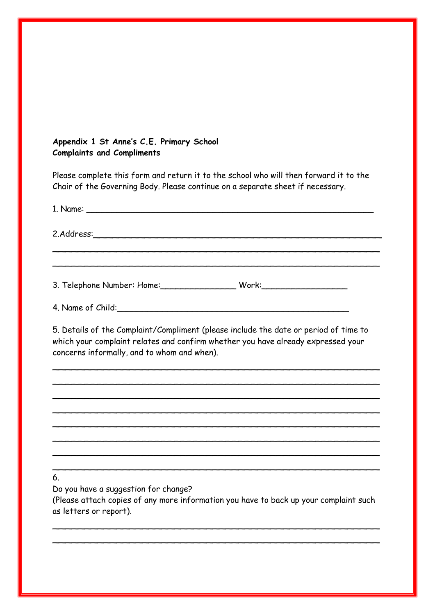## **Appendix 1 St Anne's C.E. Primary School Complaints and Compliments**

Please complete this form and return it to the school who will then forward it to the Chair of the Governing Body. Please continue on a separate sheet if necessary.

| 5. Details of the Complaint/Compliment (please include the date or period of time to<br>which your complaint relates and confirm whether you have already expressed your<br>concerns informally, and to whom and when). |  |
|-------------------------------------------------------------------------------------------------------------------------------------------------------------------------------------------------------------------------|--|
|                                                                                                                                                                                                                         |  |
|                                                                                                                                                                                                                         |  |
|                                                                                                                                                                                                                         |  |
|                                                                                                                                                                                                                         |  |
| 6.<br>Do you have a suggestion for change?<br>(Please attach copies of any more information you have to back up your complaint such<br>as letters or report).                                                           |  |
|                                                                                                                                                                                                                         |  |